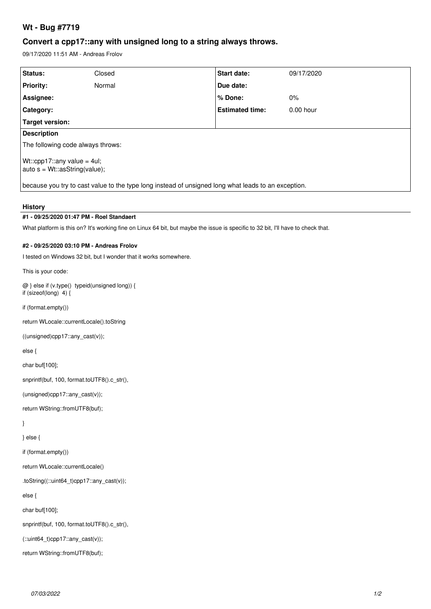# **Wt - Bug #7719**

# **Convert a cpp17::any with unsigned long to a string always throws.**

09/17/2020 11:51 AM - Andreas Frolov

| Status:                                                                                             | Closed | <b>Start date:</b>     | 09/17/2020  |
|-----------------------------------------------------------------------------------------------------|--------|------------------------|-------------|
| <b>Priority:</b>                                                                                    | Normal | Due date:              |             |
| Assignee:                                                                                           |        | % Done:                | $0\%$       |
| Category:                                                                                           |        | <b>Estimated time:</b> | $0.00$ hour |
| Target version:                                                                                     |        |                        |             |
| <b>Description</b>                                                                                  |        |                        |             |
| The following code always throws:                                                                   |        |                        |             |
| Wt::cpp17::any value = $4ul$ ;<br>$ $ auto s = Wt::asString(value);                                 |        |                        |             |
| because you try to cast value to the type long instead of unsigned long what leads to an exception. |        |                        |             |
|                                                                                                     |        |                        |             |

#### **History**

## **#1 - 09/25/2020 01:47 PM - Roel Standaert**

What platform is this on? It's working fine on Linux 64 bit, but maybe the issue is specific to 32 bit, I'll have to check that.

#### **#2 - 09/25/2020 03:10 PM - Andreas Frolov**

I tested on Windows 32 bit, but I wonder that it works somewhere.

This is your code:

@ } else if (v.type() typeid(unsigned long)) { if (sizeof(long) 4) {

if (format.empty())

return WLocale::currentLocale().toString

((unsigned)cpp17::any\_cast(v));

else {

char buf[100];

snprintf(buf, 100, format.toUTF8().c\_str(),

(unsigned)cpp17::any\_cast(v));

return WString::fromUTF8(buf);

}

} else {

if (format.empty())

return WLocale::currentLocale()

.toString((::uint64\_t)cpp17::any\_cast(v));

else {

char buf[100];

snprintf(buf, 100, format.toUTF8().c\_str(),

 $(::uint64_t)cpp17::any\_cast(v));$ 

return WString::fromUTF8(buf);